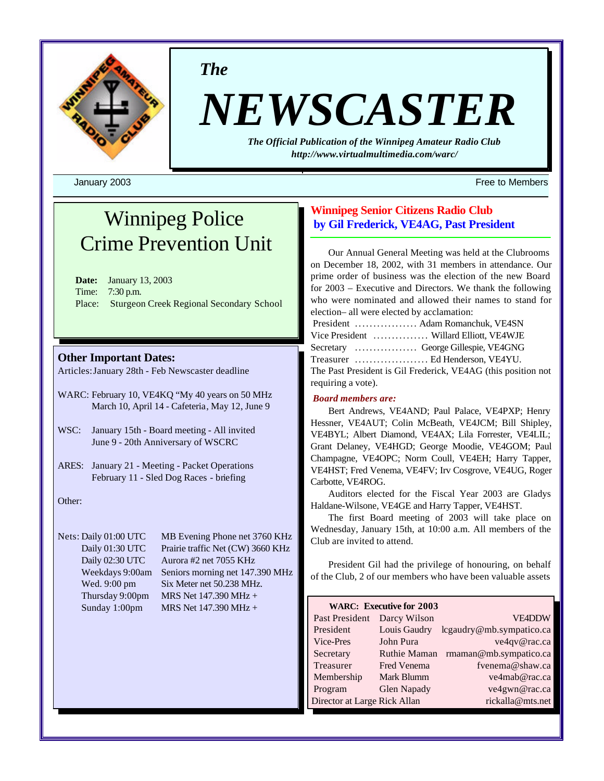

*The*

# *NEWSCASTER*

*The Official Publication of the Winnipeg Amateur Radio Club <http://www.virtualmultimedia.com/warc/>*

January 2003 Free to Members

## Winnipeg Police Crime Prevention Unit

**Date:** January 13, 2003 Time: 7:30 p.m. Place: Sturgeon Creek Regional Secondary School

## **Other Important Dates:**

Articles:January 28th - Feb Newscaster deadline

- WARC: February 10, VE4KQ "My 40 years on 50 MHz March 10, April 14 - Cafeteria, May 12, June 9
- WSC: January 15th Board meeting All invited June 9 - 20th Anniversary of WSCRC
- ARES: January 21 Meeting Packet Operations February 11 - Sled Dog Races - briefing

Other:

Nets: Daily 01:00 UTC MB Evening Phone net 3760 KHz Daily 01:30 UTC Prairie traffic Net (CW) 3660 KHz Daily 02:30 UTC Aurora #2 net 7055 KHz Weekdays 9:00am Seniors morning net 147.390 MHz Wed. 9:00 pm Six Meter net 50.238 MHz. Thursday 9:00pm MRS Net  $147.390 \text{ MHz} +$ Sunday 1:00pm MRS Net 147.390 MHz +

## **Winnipeg Senior Citizens Radio Club by Gil Frederick, VE4AG, Past President**

Our Annual General Meeting was held at the Clubrooms on December 18, 2002, with 31 members in attendance. Our prime order of business was the election of the new Board for 2003 – Executive and Directors. We thank the following who were nominated and allowed their names to stand for election– all were elected by acclamation:

|                    | President  Adam Romanchuk. VE4SN                              |
|--------------------|---------------------------------------------------------------|
|                    | Vice President  Willard Elliott, VE4WJE                       |
|                    | Secretary  George Gillespie, VE4GNG                           |
|                    | Treasurer  Ed Henderson, VE4YU.                               |
|                    | The Past President is Gil Frederick, VE4AG (this position not |
| requiring a vote). |                                                               |

## *Board members are:*

Bert Andrews, VE4AND; Paul Palace, VE4PXP; Henry Hessner, VE4AUT; Colin McBeath, VE4JCM; Bill Shipley, VE4BYL; Albert Diamond, VE4AX; Lila Forrester, VE4LIL; Grant Delaney, VE4HGD; George Moodie, VE4GOM; Paul Champagne, VE4OPC; Norm Coull, VE4EH; Harry Tapper, VE4HST; Fred Venema, VE4FV; Irv Cosgrove, VE4UG, Roger Carbotte, VE4ROG.

Auditors elected for the Fiscal Year 2003 are Gladys Haldane-Wilsone, VE4GE and Harry Tapper, VE4HST.

The first Board meeting of 2003 will take place on Wednesday, January 15th, at 10:00 a.m. All members of the Club are invited to attend.

President Gil had the privilege of honouring, on behalf of the Club, 2 of our members who have been valuable assets

| <b>WARC: Executive for 2003</b> |                     |                          |  |  |  |  |
|---------------------------------|---------------------|--------------------------|--|--|--|--|
| Past President                  | Darcy Wilson        | <b>VE4DDW</b>            |  |  |  |  |
| President                       | Louis Gaudry        | lcgaudry@mb.sympatico.ca |  |  |  |  |
| Vice-Pres                       | John Pura           | ve4qv@rac.ca             |  |  |  |  |
| Secretary                       | <b>Ruthie Maman</b> | rmaman@mb.sympatico.ca   |  |  |  |  |
| Treasurer                       | Fred Venema         | fvenema@shaw.ca          |  |  |  |  |
| Membership                      | Mark Blumm          | ve4mab@rac.ca            |  |  |  |  |
| Program                         | <b>Glen Napady</b>  | ve4gwn@rac.ca            |  |  |  |  |
| Director at Large Rick Allan    |                     | rickalla@mts.net         |  |  |  |  |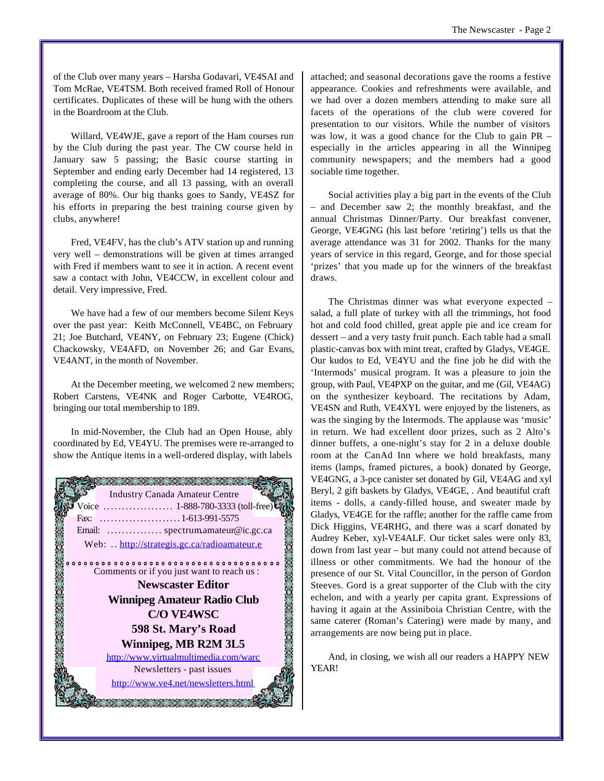of the Club over many years – Harsha Godavari, VE4SAI and Tom McRae, VE4TSM. Both received framed Roll of Honour certificates. Duplicates of these will be hung with the others in the Boardroom at the Club.

Willard, VE4WJE, gave a report of the Ham courses run by the Club during the past year. The CW course held in January saw 5 passing; the Basic course starting in September and ending early December had 14 registered, 13 completing the course, and all 13 passing, with an overall average of 80%. Our big thanks goes to Sandy, VE4SZ for his efforts in preparing the best training course given by clubs, anywhere!

Fred, VE4FV, has the club's ATV station up and running very well – demonstrations will be given at times arranged with Fred if members want to see it in action. A recent event saw a contact with John, VE4CCW, in excellent colour and detail. Very impressive, Fred.

We have had a few of our members become Silent Keys over the past year: Keith McConnell, VE4BC, on February 21; Joe Butchard, VE4NY, on February 23; Eugene (Chick) Chackowsky, VE4AFD, on November 26; and Gar Evans, VE4ANT, in the month of November.

At the December meeting, we welcomed 2 new members; Robert Carstens, VE4NK and Roger Carbotte, VE4ROG, bringing our total membership to 189.

In mid-November, the Club had an Open House, ably coordinated by Ed, VE4YU. The premises were re-arranged to show the Antique items in a well-ordered display, with labels



attached; and seasonal decorations gave the rooms a festive appearance. Cookies and refreshments were available, and we had over a dozen members attending to make sure all facets of the operations of the club were covered for presentation to our visitors. While the number of visitors was low, it was a good chance for the Club to gain PR – especially in the articles appearing in all the Winnipeg community newspapers; and the members had a good sociable time together.

Social activities play a big part in the events of the Club – and December saw 2; the monthly breakfast, and the annual Christmas Dinner/Party. Our breakfast convener, George, VE4GNG (his last before 'retiring') tells us that the average attendance was 31 for 2002. Thanks for the many years of service in this regard, George, and for those special 'prizes' that you made up for the winners of the breakfast draws.

The Christmas dinner was what everyone expected – salad, a full plate of turkey with all the trimmings, hot food hot and cold food chilled, great apple pie and ice cream for dessert – and a very tasty fruit punch. Each table had a small plastic-canvas box with mint treat, crafted by Gladys, VE4GE. Our kudos to Ed, VE4YU and the fine job he did with the 'Intermods' musical program. It was a pleasure to join the group, with Paul, VE4PXP on the guitar, and me (Gil, VE4AG) on the synthesizer keyboard. The recitations by Adam, VE4SN and Ruth, VE4XYL were enjoyed by the listeners, as was the singing by the Intermods. The applause was 'music' in return. We had excellent door prizes, such as 2 Alto's dinner buffets, a one-night's stay for 2 in a deluxe double room at the CanAd Inn where we hold breakfasts, many items (lamps, framed pictures, a book) donated by George, VE4GNG, a 3-pce canister set donated by Gil, VE4AG and xyl Beryl, 2 gift baskets by Gladys, VE4GE, . And beautiful craft items - dolls, a candy-filled house, and sweater made by Gladys, VE4GE for the raffle; another for the raffle came from Dick Higgins, VE4RHG, and there was a scarf donated by Audrey Keber, xyl-VE4ALF. Our ticket sales were only 83, down from last year – but many could not attend because of illness or other commitments. We had the honour of the presence of our St. Vital Councillor, in the person of Gordon Steeves. Gord is a great supporter of the Club with the city echelon, and with a yearly per capita grant. Expressions of having it again at the Assiniboia Christian Centre, with the same caterer (Roman's Catering) were made by many, and arrangements are now being put in place.

And, in closing, we wish all our readers a HAPPY NEW YEAR!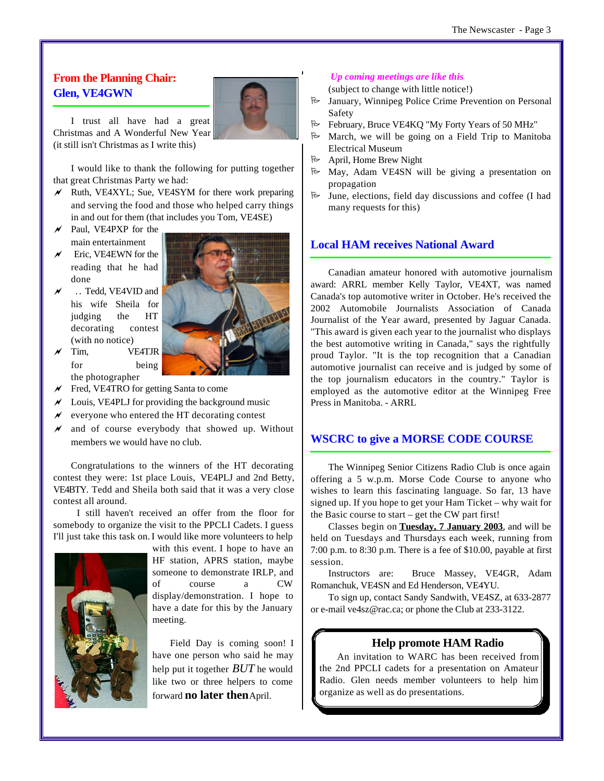## **From the Planning Chair: Glen, VE4GWN**



I trust all have had a great Christmas and A Wonderful New Year (it still isn't Christmas as I write this)

I would like to thank the following for putting together that great Christmas Party we had:

- $\chi$  Ruth, VE4XYL; Sue, VE4SYM for there work preparing and serving the food and those who helped carry things in and out for them (that includes you Tom, VE4SE)
- Paul, VE4PXP for the main entertainment
- $\times$  Eric, VE4EWN for the reading that he had done
- ~ . . Tedd, VE4VID and his wife Sheila for judging the HT decorating contest (with no notice)
- ~ Tim, VE4TJR for being the photographer
- $\mathcal N$  Fred, VE4TRO for getting Santa to come
- Louis, VE4PLJ for providing the background music
- $\mathcal N$  everyone who entered the HT decorating contest
- and of course everybody that showed up. Without members we would have no club.

Congratulations to the winners of the HT decorating contest they were: 1st place Louis, VE4PLJ and 2nd Betty, VE4BTY. Tedd and Sheila both said that it was a very close contest all around.

I still haven't received an offer from the floor for somebody to organize the visit to the PPCLI Cadets. I guess I'll just take this task on.I would like more volunteers to help



with this event. I hope to have an HF station, APRS station, maybe someone to demonstrate IRLP, and of course a CW display/demonstration. I hope to have a date for this by the January meeting.

Field Day is coming soon! I have one person who said he may help put it together *BUT* he would like two or three helpers to come forward **no later then** April.

## *Up coming meetings are like this*

(subject to change with little notice!)

- P January, Winnipeg Police Crime Prevention on Personal Safety
- P February, Bruce VE4KQ "My Forty Years of 50 MHz"
- $\approx$  March, we will be going on a Field Trip to Manitoba Electrical Museum
- P April, Home Brew Night
- $\approx$  May, Adam VE4SN will be giving a presentation on propagation
- $\approx$  June, elections, field day discussions and coffee (I had many requests for this)

## **Local HAM receives National Award**

Canadian amateur honored with automotive journalism award: ARRL member Kelly Taylor, VE4XT, was named Canada's top automotive writer in October. He's received the 2002 Automobile Journalists Association of Canada Journalist of the Year award, presented by Jaguar Canada. "This award is given each year to the journalist who displays the best automotive writing in Canada," says the rightfully proud Taylor. "It is the top recognition that a Canadian automotive journalist can receive and is judged by some of the top journalism educators in the country." Taylor is employed as the automotive editor at the Winnipeg Free Press in Manitoba. - ARRL

## **WSCRC to give a MORSE CODE COURSE**

The Winnipeg Senior Citizens Radio Club is once again offering a 5 w.p.m. Morse Code Course to anyone who wishes to learn this fascinating language. So far, 13 have signed up. If you hope to get your Ham Ticket – why wait for the Basic course to start – get the CW part first!

Classes begin on **Tuesday, 7 January 2003**, and will be held on Tuesdays and Thursdays each week, running from 7:00 p.m. to 8:30 p.m. There is a fee of \$10.00, payable at first session.

Instructors are: Bruce Massey, VE4GR, Adam Romanchuk, VE4SN and Ed Henderson, VE4YU.

To sign up, contact Sandy Sandwith, VE4SZ, at 633-2877 or e-mail ve4sz@rac.ca; or phone the Club at 233-3122.

## **Help promote HAM Radio**

An invitation to WARC has been received from the 2nd PPCLI cadets for a presentation on Amateur Radio. Glen needs member volunteers to help him organize as well as do presentations.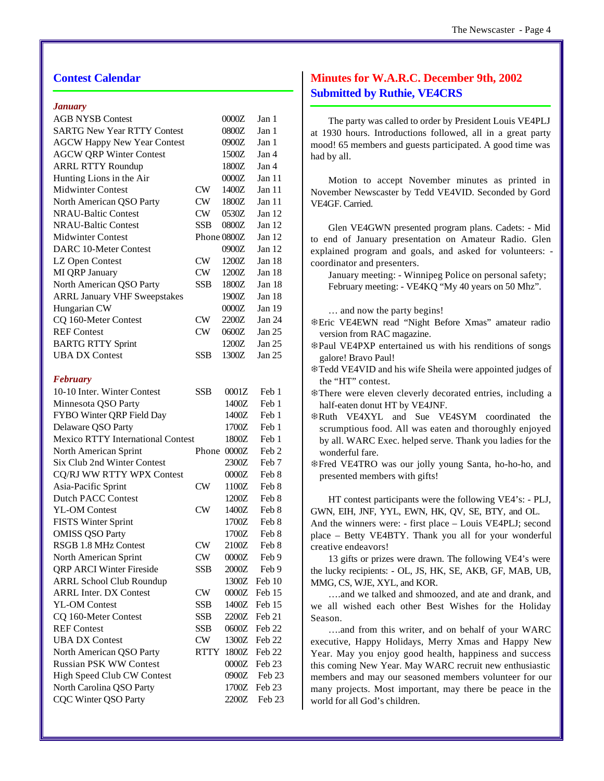## **Contest Calendar**

#### *January*

| <b>AGB NYSB Contest</b>                  |            | 0000Z       | Jan 1            |
|------------------------------------------|------------|-------------|------------------|
| <b>SARTG New Year RTTY Contest</b>       |            | 0800Z       | Jan 1            |
| <b>AGCW Happy New Year Contest</b>       |            | 0900Z       | Jan 1            |
| <b>AGCW QRP Winter Contest</b>           |            | 1500Z       | Jan 4            |
| <b>ARRL RTTY Roundup</b>                 |            | 1800Z       | Jan 4            |
| Hunting Lions in the Air                 |            | 0000Z       | Jan 11           |
| <b>Midwinter Contest</b>                 | CW         | 1400Z       | Jan 11           |
| North American QSO Party                 | <b>CW</b>  | 1800Z       | Jan 11           |
| <b>NRAU-Baltic Contest</b>               | <b>CW</b>  | 0530Z       | Jan 12           |
| <b>NRAU-Baltic Contest</b>               | <b>SSB</b> | 0800Z       | Jan 12           |
| <b>Midwinter Contest</b>                 |            | Phone 0800Z | Jan 12           |
| <b>DARC 10-Meter Contest</b>             |            | 0900Z       | Jan 12           |
| LZ Open Contest                          | CW         | 1200Z       | Jan 18           |
| MI QRP January                           | <b>CW</b>  | 1200Z       | Jan 18           |
| North American QSO Party                 | <b>SSB</b> | 1800Z       | Jan 18           |
| <b>ARRL January VHF Sweepstakes</b>      |            | 1900Z       | Jan 18           |
| Hungarian CW                             |            | 0000Z       | Jan 19           |
| CQ 160-Meter Contest                     | CW         | 2200Z       | Jan 24           |
| <b>REF Contest</b>                       | CW         | 0600Z       | Jan 25           |
| <b>BARTG RTTY Sprint</b>                 |            | 1200Z       | <b>Jan 25</b>    |
| <b>UBA DX Contest</b>                    | <b>SSB</b> | 1300Z       | Jan 25           |
|                                          |            |             |                  |
| <b>February</b>                          |            |             |                  |
| 10-10 Inter. Winter Contest              | SSB        | 0001Z       | Feb 1            |
| Minnesota QSO Party                      |            | 1400Z       | Feb 1            |
| FYBO Winter QRP Field Day                |            | 1400Z       | Feb 1            |
| Delaware QSO Party                       |            | 1700Z       | Feb 1            |
| <b>Mexico RTTY International Contest</b> |            | 1800Z       | Feb 1            |
| North American Sprint                    |            | Phone 0000Z | Feb <sub>2</sub> |
| <b>Six Club 2nd Winter Contest</b>       |            | 2300Z       | Feb <sub>7</sub> |
| CQ/RJ WW RTTY WPX Contest                |            | 0000Z       | Feb 8            |
| Asia-Pacific Sprint                      | <b>CW</b>  | 1100Z       | Feb 8            |
| <b>Dutch PACC Contest</b>                |            | 1200Z       | Feb 8            |
| <b>YL-OM Contest</b>                     | CW         | 1400Z       | Feb 8            |
| <b>FISTS Winter Sprint</b>               |            | 1700Z       | Feb 8            |
| <b>OMISS QSO Party</b>                   |            | 1700Z       | Feb 8            |
| <b>RSGB 1.8 MHz Contest</b>              | CW         | 2100Z       | Feb 8            |
| North American Sprint                    | <b>CW</b>  | 0000Z       | Feb 9            |
| <b>QRP ARCI Winter Fireside</b>          | SSB        | $2000Z$     | Feb 9            |
| <b>ARRL School Club Roundup</b>          |            | 1300Z       | Feb 10           |
| <b>ARRL Inter. DX Contest</b>            | CW         | 0000Z       | Feb 15           |
| <b>YL-OM Contest</b>                     | SSB        | 1400Z       | Feb 15           |
| CQ 160-Meter Contest                     | <b>SSB</b> | 2200Z       | Feb 21           |
| <b>REF Contest</b>                       | SSB        | 0600Z       | Feb 22           |
| <b>UBA DX Contest</b>                    | CW         | 1300Z       | Feb 22           |
| North American QSO Party                 | RTTY       | 1800Z       | Feb 22           |
| <b>Russian PSK WW Contest</b>            |            | 0000Z       | Feb 23           |
| High Speed Club CW Contest               |            | 0900Z       | Feb 23           |
| North Carolina QSO Party                 |            | 1700Z       | Feb 23           |
| <b>CQC Winter QSO Party</b>              |            | 2200Z       | Feb 23           |
|                                          |            |             |                  |

## **Minutes for W.A.R.C. December 9th, 2002 Submitted by Ruthie, VE4CRS**

The party was called to order by President Louis VE4PLJ at 1930 hours. Introductions followed, all in a great party mood! 65 members and guests participated. A good time was had by all.

Motion to accept November minutes as printed in November Newscaster by Tedd VE4VID. Seconded by Gord VE4GF. Carried.

Glen VE4GWN presented program plans. Cadets: - Mid to end of January presentation on Amateur Radio. Glen explained program and goals, and asked for volunteers: coordinator and presenters.

January meeting: - Winnipeg Police on personal safety; February meeting: - VE4KQ "My 40 years on 50 Mhz".

… and now the party begins!

- TEric VE4EWN read "Night Before Xmas" amateur radio version from RAC magazine.
- **\*Paul VE4PXP** entertained us with his renditions of songs galore! Bravo Paul!
- \Tedd VE4VID and his wife Sheila were appointed judges of the "HT" contest.
- **#There were eleven cleverly decorated entries, including a** half-eaten donut HT by VE4JNF.
- **\*Ruth VE4XYL** and Sue VE4SYM coordinated the scrumptious food. All was eaten and thoroughly enjoyed by all. WARC Exec. helped serve. Thank you ladies for the wonderful fare.
- TFred VE4TRO was our jolly young Santa, ho-ho-ho, and presented members with gifts!

HT contest participants were the following VE4's: - PLJ, GWN, EIH, JNF, YYL, EWN, HK, QV, SE, BTY, and OL.

And the winners were: - first place – Louis VE4PLJ; second place – Betty VE4BTY. Thank you all for your wonderful creative endeavors!

13 gifts or prizes were drawn. The following VE4's were the lucky recipients: - OL, JS, HK, SE, AKB, GF, MAB, UB, MMG, CS, WJE, XYL, and KOR.

….and we talked and shmoozed, and ate and drank, and we all wished each other Best Wishes for the Holiday Season.

….and from this writer, and on behalf of your WARC executive, Happy Holidays, Merry Xmas and Happy New Year. May you enjoy good health, happiness and success this coming New Year. May WARC recruit new enthusiastic members and may our seasoned members volunteer for our many projects. Most important, may there be peace in the world for all God's children.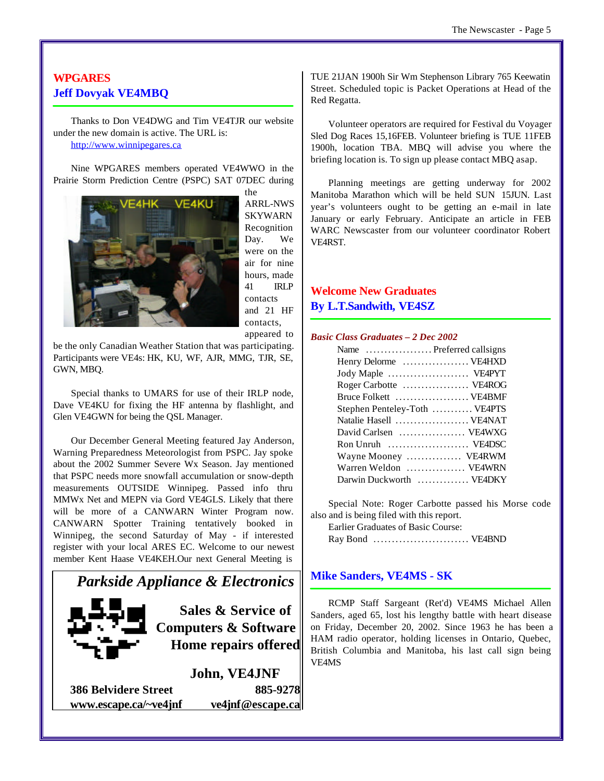## **WPGARES Jeff Dovyak VE4MBQ**

Thanks to Don VE4DWG and Tim VE4TJR our website under the new domain is active. The URL is: <http://www.winnipegares.ca>

Nine WPGARES members operated VE4WWO in the Prairie Storm Prediction Centre (PSPC) SAT 07DEC during



the ARRL-NWS SKYWARN Recognition Day. We were on the air for nine hours, made 41 IRLP contacts and 21 HF contacts, appeared to

be the only Canadian Weather Station that was participating. Participants were VE4s: HK, KU, WF, AJR, MMG, TJR, SE, GWN, MBQ.

Special thanks to UMARS for use of their IRLP node, Dave VE4KU for fixing the HF antenna by flashlight, and Glen VE4GWN for being the QSL Manager.

Our December General Meeting featured Jay Anderson, Warning Preparedness Meteorologist from PSPC. Jay spoke about the 2002 Summer Severe Wx Season. Jay mentioned that PSPC needs more snowfall accumulation or snow-depth measurements OUTSIDE Winnipeg. Passed info thru MMWx Net and MEPN via Gord VE4GLS. Likely that there will be more of a CANWARN Winter Program now. CANWARN Spotter Training tentatively booked in Winnipeg, the second Saturday of May - if interested register with your local ARES EC. Welcome to our newest member Kent Haase VE4KEH.Our next General Meeting is



**386 Belvidere Street 885-9278 www.escape.ca/~ve4jnf ve4jnf@escape.ca** TUE 21JAN 1900h Sir Wm Stephenson Library 765 Keewatin Street. Scheduled topic is Packet Operations at Head of the Red Regatta.

Volunteer operators are required for Festival du Voyager Sled Dog Races 15,16FEB. Volunteer briefing is TUE 11FEB 1900h, location TBA. MBQ will advise you where the briefing location is. To sign up please contact MBQ asap.

Planning meetings are getting underway for 2002 Manitoba Marathon which will be held SUN 15JUN. Last year's volunteers ought to be getting an e-mail in late January or early February. Anticipate an article in FEB WARC Newscaster from our volunteer coordinator Robert VE4RST.

## **Welcome New Graduates By L.T.Sandwith, VE4SZ**

### *Basic Class Graduates – 2 Dec 2002*

| Name  Preferred callsigns     |
|-------------------------------|
| Henry Delorme  VE4HXD         |
| Jody Maple  VE4PYT            |
| Roger Carbotte  VE4ROG        |
| Bruce Folkett  VE4BMF         |
| Stephen Penteley-Toth  VE4PTS |
| Natalie Hasell  VE4NAT        |
| David Carlsen  VE4WXG         |
| Ron Unruh  VEADSC             |
| Wayne Mooney  VE4RWM          |
| Warren Weldon  VE4WRN         |
| Darwin Duckworth  VE4DKY      |

Special Note: Roger Carbotte passed his Morse code also and is being filed with this report.

Earlier Graduates of Basic Course:

Ray Bond .......................... VE4BND

## **Mike Sanders, VE4MS - SK**

RCMP Staff Sargeant (Ret'd) VE4MS Michael Allen Sanders, aged 65, lost his lengthy battle with heart disease on Friday, December 20, 2002. Since 1963 he has been a HAM radio operator, holding licenses in Ontario, Quebec, British Columbia and Manitoba, his last call sign being VE4MS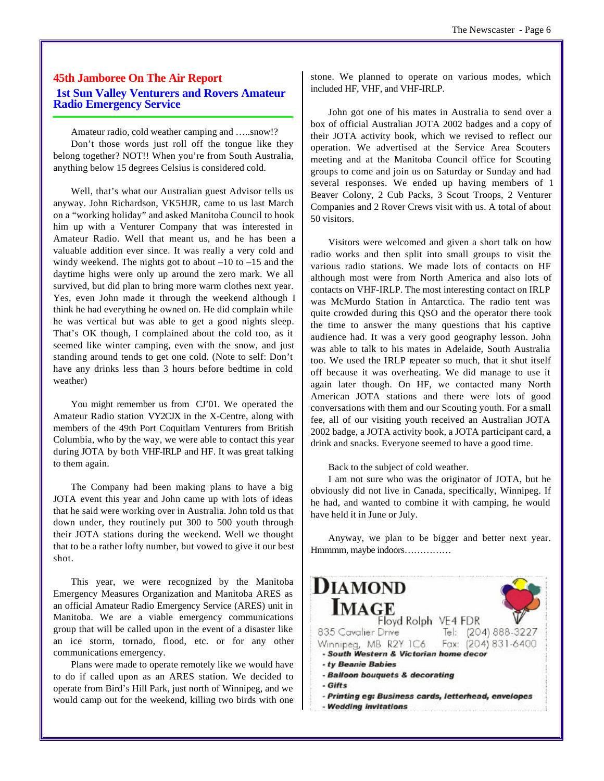## **45th Jamboree On The Air Report 1st Sun Valley Venturers and Rovers Amateur Radio Emergency Service**

Amateur radio, cold weather camping and …..snow!? Don't those words just roll off the tongue like they belong together? NOT!! When you're from South Australia, anything below 15 degrees Celsius is considered cold.

Well, that's what our Australian guest Advisor tells us anyway. John Richardson, VK5HJR, came to us last March on a "working holiday" and asked Manitoba Council to hook him up with a Venturer Company that was interested in Amateur Radio. Well that meant us, and he has been a valuable addition ever since. It was really a very cold and windy weekend. The nights got to about  $-10$  to  $-15$  and the daytime highs were only up around the zero mark. We all survived, but did plan to bring more warm clothes next year. Yes, even John made it through the weekend although I think he had everything he owned on. He did complain while he was vertical but was able to get a good nights sleep. That's OK though, I complained about the cold too, as it seemed like winter camping, even with the snow, and just standing around tends to get one cold. (Note to self: Don't have any drinks less than 3 hours before bedtime in cold weather)

You might remember us from CJ'01. We operated the Amateur Radio station VY2CJX in the X-Centre, along with members of the 49th Port Coquitlam Venturers from British Columbia, who by the way, we were able to contact this year during JOTA by both VHF-IRLP and HF. It was great talking to them again.

The Company had been making plans to have a big JOTA event this year and John came up with lots of ideas that he said were working over in Australia. John told us that down under, they routinely put 300 to 500 youth through their JOTA stations during the weekend. Well we thought that to be a rather lofty number, but vowed to give it our best shot.

This year, we were recognized by the Manitoba Emergency Measures Organization and Manitoba ARES as an official Amateur Radio Emergency Service (ARES) unit in Manitoba. We are a viable emergency communications group that will be called upon in the event of a disaster like an ice storm, tornado, flood, etc. or for any other communications emergency.

Plans were made to operate remotely like we would have to do if called upon as an ARES station. We decided to operate from Bird's Hill Park, just north of Winnipeg, and we would camp out for the weekend, killing two birds with one stone. We planned to operate on various modes, which included HF, VHF, and VHF-IRLP.

John got one of his mates in Australia to send over a box of official Australian JOTA 2002 badges and a copy of their JOTA activity book, which we revised to reflect our operation. We advertised at the Service Area Scouters meeting and at the Manitoba Council office for Scouting groups to come and join us on Saturday or Sunday and had several responses. We ended up having members of 1 Beaver Colony, 2 Cub Packs, 3 Scout Troops, 2 Venturer Companies and 2 Rover Crews visit with us. A total of about 50 visitors.

Visitors were welcomed and given a short talk on how radio works and then split into small groups to visit the various radio stations. We made lots of contacts on HF although most were from North America and also lots of contacts on VHF-IRLP. The most interesting contact on IRLP was McMurdo Station in Antarctica. The radio tent was quite crowded during this QSO and the operator there took the time to answer the many questions that his captive audience had. It was a very good geography lesson. John was able to talk to his mates in Adelaide, South Australia too. We used the IRLP repeater so much, that it shut itself off because it was overheating. We did manage to use it again later though. On HF, we contacted many North American JOTA stations and there were lots of good conversations with them and our Scouting youth. For a small fee, all of our visiting youth received an Australian JOTA 2002 badge, a JOTA activity book, a JOTA participant card, a drink and snacks. Everyone seemed to have a good time.

Back to the subject of cold weather.

I am not sure who was the originator of JOTA, but he obviously did not live in Canada, specifically, Winnipeg. If he had, and wanted to combine it with camping, he would have held it in June or July.

Anyway, we plan to be bigger and better next year. Hmmmm, maybe indoors……………

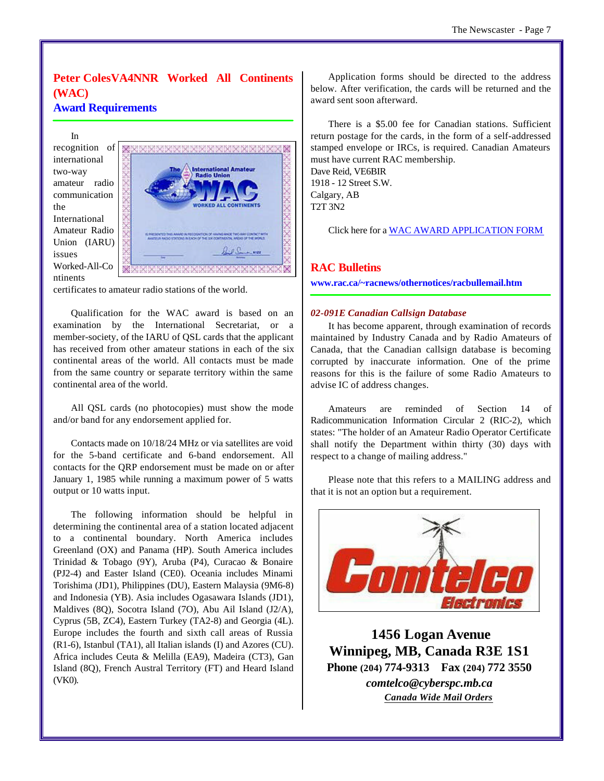## **Peter ColesVA4NNR Worked All Continents (WAC)**

## **Award Requirements**

In recognition of international two-way amateur radio communication the International Amateur Radio Union (IARU) issues Worked-All-Co ntinents



certificates to amateur radio stations of the world.

Qualification for the WAC award is based on an examination by the International Secretariat, or a member-society, of the IARU of QSL cards that the applicant has received from other amateur stations in each of the six continental areas of the world. All contacts must be made from the same country or separate territory within the same continental area of the world.

All QSL cards (no photocopies) must show the mode and/or band for any endorsement applied for.

Contacts made on 10/18/24 MHz or via satellites are void for the 5-band certificate and 6-band endorsement. All contacts for the QRP endorsement must be made on or after January 1, 1985 while running a maximum power of 5 watts output or 10 watts input.

The following information should be helpful in determining the continental area of a station located adjacent to a continental boundary. North America includes Greenland (OX) and Panama (HP). South America includes Trinidad & Tobago (9Y), Aruba (P4), Curacao & Bonaire (PJ2-4) and Easter Island (CE0). Oceania includes Minami Torishima (JD1), Philippines (DU), Eastern Malaysia (9M6-8) and Indonesia (YB). Asia includes Ogasawara Islands (JD1), Maldives (8Q), Socotra Island (7O), Abu Ail Island (J2/A), Cyprus (5B, ZC4), Eastern Turkey (TA2-8) and Georgia (4L). Europe includes the fourth and sixth call areas of Russia (R1-6), Istanbul (TA1), all Italian islands (I) and Azores (CU). Africa includes Ceuta & Melilla (EA9), Madeira (CT3), Gan Island (8Q), French Austral Territory (FT) and Heard Island (VK0).

Application forms should be directed to the address below. After verification, the cards will be returned and the award sent soon afterward.

There is a \$5.00 fee for Canadian stations. Sufficient return postage for the cards, in the form of a self-addressed stamped envelope or IRCs, is required. Canadian Amateurs must have current RAC membership. Dave Reid, VE6BIR 1918 - 12 Street S.W. Calgary, AB

T2T 3N2

Click here for a WAC AWARD APPLICATION FORM

## **RAC Bulletins**

**www.rac.ca/~racnews/othernotices/racbullemail.htm**

## *02-091E Canadian Callsign Database*

It has become apparent, through examination of records maintained by Industry Canada and by Radio Amateurs of Canada, that the Canadian callsign database is becoming corrupted by inaccurate information. One of the prime reasons for this is the failure of some Radio Amateurs to advise IC of address changes.

Amateurs are reminded of Section 14 of Radicommunication Information Circular 2 (RIC-2), which states: "The holder of an Amateur Radio Operator Certificate shall notify the Department within thirty (30) days with respect to a change of mailing address."

Please note that this refers to a MAILING address and that it is not an option but a requirement.



 **1456 Logan Avenue Winnipeg, MB, Canada R3E 1S1 Phone (204) 774-9313 Fax (204) 772 3550** *comtelco@cyberspc.mb.ca Canada Wide Mail Orders*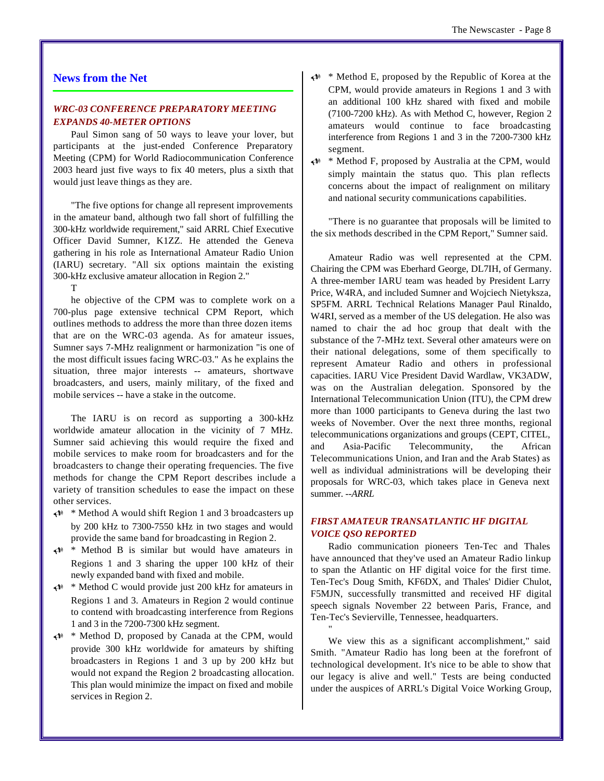## **News from the Net**

## *WRC-03 CONFERENCE PREPARATORY MEETING EXPANDS 40-METER OPTIONS*

Paul Simon sang of 50 ways to leave your lover, but participants at the just-ended Conference Preparatory Meeting (CPM) for World Radiocommunication Conference 2003 heard just five ways to fix 40 meters, plus a sixth that would just leave things as they are.

"The five options for change all represent improvements in the amateur band, although two fall short of fulfilling the 300-kHz worldwide requirement," said ARRL Chief Executive Officer David Sumner, K1ZZ. He attended the Geneva gathering in his role as International Amateur Radio Union (IARU) secretary. "All six options maintain the existing 300-kHz exclusive amateur allocation in Region 2."

T

he objective of the CPM was to complete work on a 700-plus page extensive technical CPM Report, which outlines methods to address the more than three dozen items that are on the WRC-03 agenda. As for amateur issues, Sumner says 7-MHz realignment or harmonization "is one of the most difficult issues facing WRC-03." As he explains the situation, three major interests -- amateurs, shortwave broadcasters, and users, mainly military, of the fixed and mobile services -- have a stake in the outcome.

The IARU is on record as supporting a 300-kHz worldwide amateur allocation in the vicinity of 7 MHz. Sumner said achieving this would require the fixed and mobile services to make room for broadcasters and for the broadcasters to change their operating frequencies. The five methods for change the CPM Report describes include a variety of transition schedules to ease the impact on these other services.

- $\leftrightarrow$  \* Method A would shift Region 1 and 3 broadcasters up by 200 kHz to 7300-7550 kHz in two stages and would provide the same band for broadcasting in Region 2.
- $\leftrightarrow$  Method B is similar but would have amateurs in Regions 1 and 3 sharing the upper 100 kHz of their newly expanded band with fixed and mobile.
- $\leftrightarrow$  \* Method C would provide just 200 kHz for amateurs in Regions 1 and 3. Amateurs in Region 2 would continue to contend with broadcasting interference from Regions 1 and 3 in the 7200-7300 kHz segment.
- U \* Method D, proposed by Canada at the CPM, would provide 300 kHz worldwide for amateurs by shifting broadcasters in Regions 1 and 3 up by 200 kHz but would not expand the Region 2 broadcasting allocation. This plan would minimize the impact on fixed and mobile services in Region 2.
- $\leftrightarrow$  \* Method E, proposed by the Republic of Korea at the CPM, would provide amateurs in Regions 1 and 3 with an additional 100 kHz shared with fixed and mobile (7100-7200 kHz). As with Method C, however, Region 2 amateurs would continue to face broadcasting interference from Regions 1 and 3 in the 7200-7300 kHz segment.
- $\leftrightarrow$  \* Method F, proposed by Australia at the CPM, would simply maintain the status quo. This plan reflects concerns about the impact of realignment on military and national security communications capabilities.

"There is no guarantee that proposals will be limited to the six methods described in the CPM Report," Sumner said.

Amateur Radio was well represented at the CPM. Chairing the CPM was Eberhard George, DL7IH, of Germany. A three-member IARU team was headed by President Larry Price, W4RA, and included Sumner and Wojciech Nietyksza, SP5FM. ARRL Technical Relations Manager Paul Rinaldo, W4RI, served as a member of the US delegation. He also was named to chair the ad hoc group that dealt with the substance of the 7-MHz text. Several other amateurs were on their national delegations, some of them specifically to represent Amateur Radio and others in professional capacities. IARU Vice President David Wardlaw, VK3ADW, was on the Australian delegation. Sponsored by the International Telecommunication Union (ITU), the CPM drew more than 1000 participants to Geneva during the last two weeks of November. Over the next three months, regional telecommunications organizations and groups (CEPT, CITEL, and Asia-Pacific Telecommunity, the African Telecommunications Union, and Iran and the Arab States) as well as individual administrations will be developing their proposals for WRC-03, which takes place in Geneva next summer. *--ARRL*

## *FIRST AMATEUR TRANSATLANTIC HF DIGITAL VOICE QSO REPORTED*

Radio communication pioneers Ten-Tec and Thales have announced that they've used an Amateur Radio linkup to span the Atlantic on HF digital voice for the first time. Ten-Tec's Doug Smith, KF6DX, and Thales' Didier Chulot, F5MJN, successfully transmitted and received HF digital speech signals November 22 between Paris, France, and Ten-Tec's Sevierville, Tennessee, headquarters.

We view this as a significant accomplishment," said Smith. "Amateur Radio has long been at the forefront of technological development. It's nice to be able to show that our legacy is alive and well." Tests are being conducted under the auspices of ARRL's Digital Voice Working Group,

"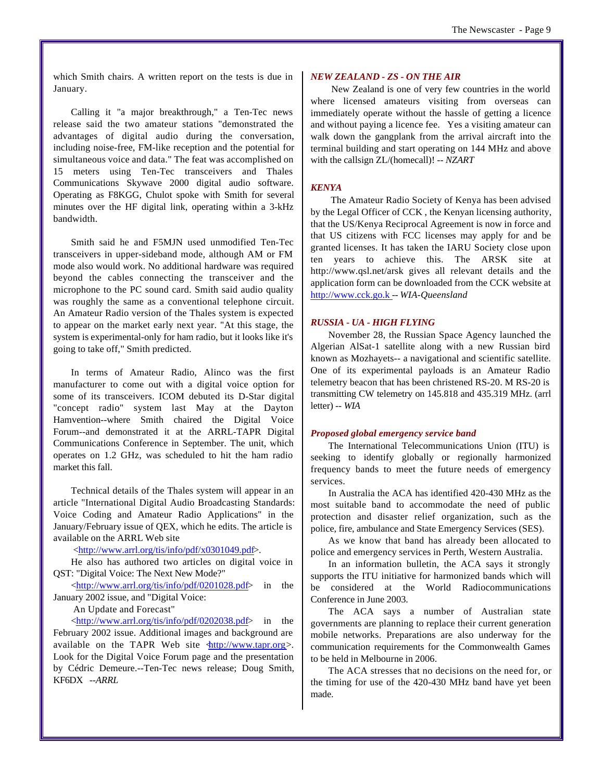which Smith chairs. A written report on the tests is due in January.

Calling it "a major breakthrough," a Ten-Tec news release said the two amateur stations "demonstrated the advantages of digital audio during the conversation, including noise-free, FM-like reception and the potential for simultaneous voice and data." The feat was accomplished on 15 meters using Ten-Tec transceivers and Thales Communications Skywave 2000 digital audio software. Operating as F8KGG, Chulot spoke with Smith for several minutes over the HF digital link, operating within a 3-kHz bandwidth.

Smith said he and F5MJN used unmodified Ten-Tec transceivers in upper-sideband mode, although AM or FM mode also would work. No additional hardware was required beyond the cables connecting the transceiver and the microphone to the PC sound card. Smith said audio quality was roughly the same as a conventional telephone circuit. An Amateur Radio version of the Thales system is expected to appear on the market early next year. "At this stage, the system is experimental-only for ham radio, but it looks like it's going to take off," Smith predicted.

In terms of Amateur Radio, Alinco was the first manufacturer to come out with a digital voice option for some of its transceivers. ICOM debuted its D-Star digital "concept radio" system last May at the Dayton Hamvention--where Smith chaired the Digital Voice Forum--and demonstrated it at the ARRL-TAPR Digital Communications Conference in September. The unit, which operates on 1.2 GHz, was scheduled to hit the ham radio market this fall.

Technical details of the Thales system will appear in an article "International Digital Audio Broadcasting Standards: Voice Coding and Amateur Radio Applications" in the January/February issue of QEX, which he edits. The article is available on the ARRL Web site

 [<http://www.arrl.org/tis/info/pdf/x0301049.pdf>.](http://www.arrl.org/tis/info/pdf/x0301049.pdf) 

He also has authored two articles on digital voice in QST: "Digital Voice: The Next New Mode?"

[<http://www.arrl.org/tis/info/pdf/0201028.pdf>](http://www.arrl.org/tis/info/pdf/0201028.pdf) in the January 2002 issue, and "Digital Voice:

An Update and Forecast"

[<http://www.arrl.org/tis/info/pdf/0202038.pdf>](http://www.arrl.org/tis/info/pdf/0202038.pdf) in the February 2002 issue. Additional images and background are available on the TAPR Web site  $\frac{\text{http://www.tapr.org>}}{$ . Look for the Digital Voice Forum page and the presentation by Cédric Demeure.--Ten-Tec news release; Doug Smith, KF6DX *--ARRL*

### *NEW ZEALAND - ZS - ON THE AIR*

 New Zealand is one of very few countries in the world where licensed amateurs visiting from overseas can immediately operate without the hassle of getting a licence and without paying a licence fee. Yes a visiting amateur can walk down the gangplank from the arrival aircraft into the terminal building and start operating on 144 MHz and above with the callsign ZL/(homecall)! *-- NZART*

#### *KENYA*

 The Amateur Radio Society of Kenya has been advised by the Legal Officer of CCK , the Kenyan licensing authority, that the US/Kenya Reciprocal Agreement is now in force and that US citizens with FCC licenses may apply for and be granted licenses. It has taken the IARU Society close upon ten years to achieve this. The ARSK site at <http://www.qsl.net/arsk> gives all relevant details and the application form can be downloaded from the CCK website at <http://www.cck.go.k> -- *WIA-Queensland*

#### *RUSSIA - UA - HIGH FLYING*

November 28, the Russian Space Agency launched the Algerian AlSat-1 satellite along with a new Russian bird known as Mozhayets-- a navigational and scientific satellite. One of its experimental payloads is an Amateur Radio telemetry beacon that has been christened RS-20. M RS-20 is transmitting CW telemetry on 145.818 and 435.319 MHz. (arrl letter) -- *WIA*

#### *Proposed global emergency service band*

The International Telecommunications Union (ITU) is seeking to identify globally or regionally harmonized frequency bands to meet the future needs of emergency services.

In Australia the ACA has identified 420-430 MHz as the most suitable band to accommodate the need of public protection and disaster relief organization, such as the police, fire, ambulance and State Emergency Services (SES).

As we know that band has already been allocated to police and emergency services in Perth, Western Australia.

In an information bulletin, the ACA says it strongly supports the ITU initiative for harmonized bands which will be considered at the World Radiocommunications Conference in June 2003.

The ACA says a number of Australian state governments are planning to replace their current generation mobile networks. Preparations are also underway for the communication requirements for the Commonwealth Games to be held in Melbourne in 2006.

The ACA stresses that no decisions on the need for, or the timing for use of the 420-430 MHz band have yet been made.